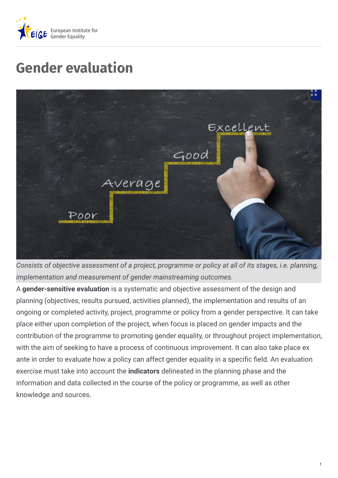

## **Gender evaluation**



*Consists of objective assessment of a project, programme or policy at all of its stages, i.e. planning, implementation and measurement of gender mainstreaming outcomes.*

A **gender-sensitive evaluation** is a systematic and objective assessment of the design and planning (objectives, results pursued, activities planned), the implementation and results of an ongoing or completed activity, project, programme or policy from a gender perspective. It can take place either upon completion of the project, when focus is placed on gender impacts and the contribution of the programme to promoting gender equality, or throughout project implementation, with the aim of seeking to have a process of continuous improvement. It can also take place ex ante in order to evaluate how a policy can affect gender equality in a specific field. An evaluation exercise must take into account the **indicators** delineated in the planning phase and the information and data collected in the course of the policy or programme, as well as other knowledge and sources.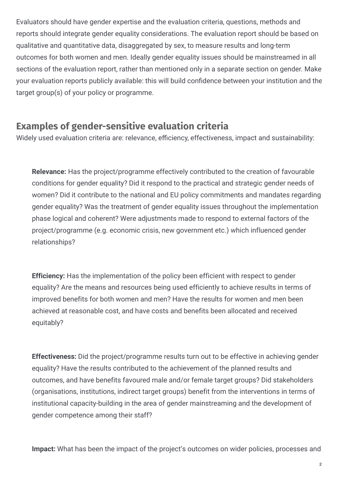Evaluators should have gender expertise and the evaluation criteria, questions, methods and reports should integrate gender equality considerations. The evaluation report should be based on qualitative and quantitative data, disaggregated by sex, to measure results and long-term outcomes for both women and men. Ideally gender equality issues should be mainstreamed in all sections of the evaluation report, rather than mentioned only in a separate section on gender. Make your evaluation reports publicly available: this will build confidence between your institution and the target group(s) of your policy or programme.

## **Examples of gender-sensitive evaluation criteria**

Widely used evaluation criteria are: relevance, efficiency, effectiveness, impact and sustainability:

**Relevance:** Has the project/programme effectively contributed to the creation of favourable conditions for gender equality? Did it respond to the practical and strategic gender needs of women? Did it contribute to the national and EU policy commitments and mandates regarding gender equality? Was the treatment of gender equality issues throughout the implementation phase logical and coherent? Were adjustments made to respond to external factors of the project/programme (e.g. economic crisis, new government etc.) which influenced gender relationships?

**Efficiency:** Has the implementation of the policy been efficient with respect to gender equality? Are the means and resources being used efficiently to achieve results in terms of improved benefits for both women and men? Have the results for women and men been achieved at reasonable cost, and have costs and benefits been allocated and received equitably?

**Effectiveness:** Did the project/programme results turn out to be effective in achieving gender equality? Have the results contributed to the achievement of the planned results and outcomes, and have benefits favoured male and/or female target groups? Did stakeholders (organisations, institutions, indirect target groups) benefit from the interventions in terms of institutional capacity-building in the area of gender mainstreaming and the development of gender competence among their staff?

**Impact:** What has been the impact of the project's outcomes on wider policies, processes and